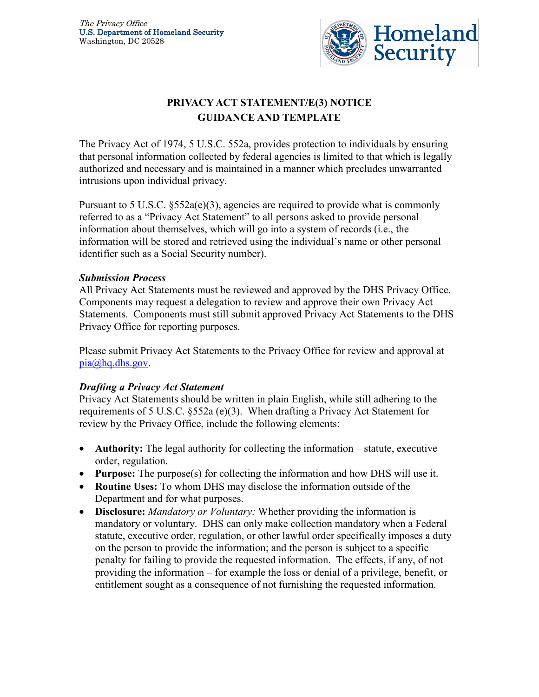

# **PRIVACY ACT STATEMENT/E(3) NOTICE GUIDANCE AND TEMPLATE**

The Privacy Act of 1974, 5 U.S.C. 552a, provides protection to individuals by ensuring that personal information collected by federal agencies is limited to that which is legally authorized and necessary and is maintained in a manner which precludes unwarranted intrusions upon individual privacy.

Pursuant to 5 U.S.C.  $\S552a(e)(3)$ , agencies are required to provide what is commonly referred to as a "Privacy Act Statement" to all persons asked to provide personal information about themselves, which will go into a system of records (i.e., the information will be stored and retrieved using the individual's name or other personal identifier such as a Social Security number).

#### *Submission Process*

All Privacy Act Statements must be reviewed and approved by the DHS Privacy Office. Components may request a delegation to review and approve their own Privacy Act Statements. Components must still submit approved Privacy Act Statements to the DHS Privacy Office for reporting purposes.

Please submit Privacy Act Statements to the Privacy Office for review and approval at pia@hq.dhs.gov.

## *Drafting a Privacy Act Statement*

Privacy Act Statements should be written in plain English, while still adhering to the requirements of 5 U.S.C. §552a (e)(3). When drafting a Privacy Act Statement for review by the Privacy Office, include the following elements:

- **Authority:** The legal authority for collecting the information statute, executive order, regulation.
- **Purpose:** The purpose(s) for collecting the information and how DHS will use it.
- **Routine Uses:** To whom DHS may disclose the information outside of the Department and for what purposes.
- **Disclosure:** *Mandatory or Voluntary:* Whether providing the information is mandatory or voluntary. DHS can only make collection mandatory when a Federal statute, executive order, regulation, or other lawful order specifically imposes a duty on the person to provide the information; and the person is subject to a specific penalty for failing to provide the requested information. The effects, if any, of not providing the information – for example the loss or denial of a privilege, benefit, or entitlement sought as a consequence of not furnishing the requested information.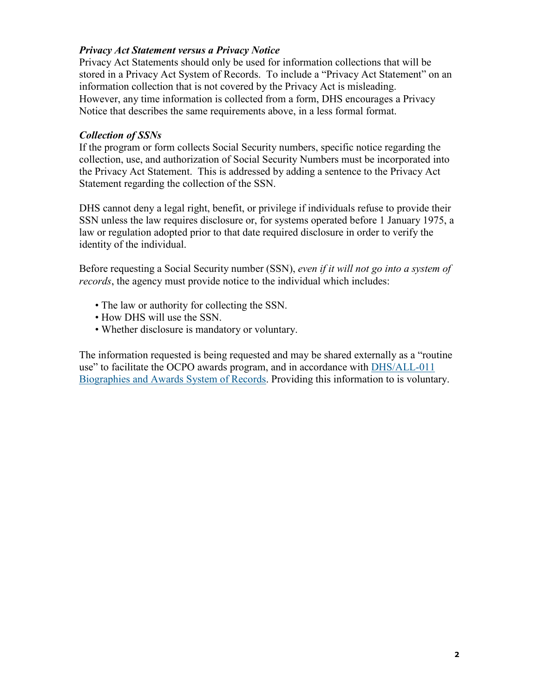#### *Privacy Act Statement versus a Privacy Notice*

Privacy Act Statements should only be used for information collections that will be stored in a Privacy Act System of Records. To include a "Privacy Act Statement" on an information collection that is not covered by the Privacy Act is misleading. However, any time information is collected from a form, DHS encourages a Privacy Notice that describes the same requirements above, in a less formal format.

#### *Collection of SSNs*

If the program or form collects Social Security numbers, specific notice regarding the collection, use, and authorization of Social Security Numbers must be incorporated into the Privacy Act Statement. This is addressed by adding a sentence to the Privacy Act Statement regarding the collection of the SSN.

DHS cannot deny a legal right, benefit, or privilege if individuals refuse to provide their SSN unless the law requires disclosure or, for systems operated before 1 January 1975, a law or regulation adopted prior to that date required disclosure in order to verify the identity of the individual.

Before requesting a Social Security number (SSN), *even if it will not go into a system of records*, the agency must provide notice to the individual which includes:

- The law or authority for collecting the SSN.
- How DHS will use the SSN.
- Whether disclosure is mandatory or voluntary.

The information requested is being requested and may be shared externally as a "routine use" to facilitate the OCPO awards program, and in accordance with [DHS/ALL-011](https://www.federalregister.gov/documents/2018/04/05/2018-06986/privacy-act-of-1974-system-of-records)  [Biographies and Awards System of Records.](https://www.federalregister.gov/documents/2018/04/05/2018-06986/privacy-act-of-1974-system-of-records) Providing this information to is voluntary.